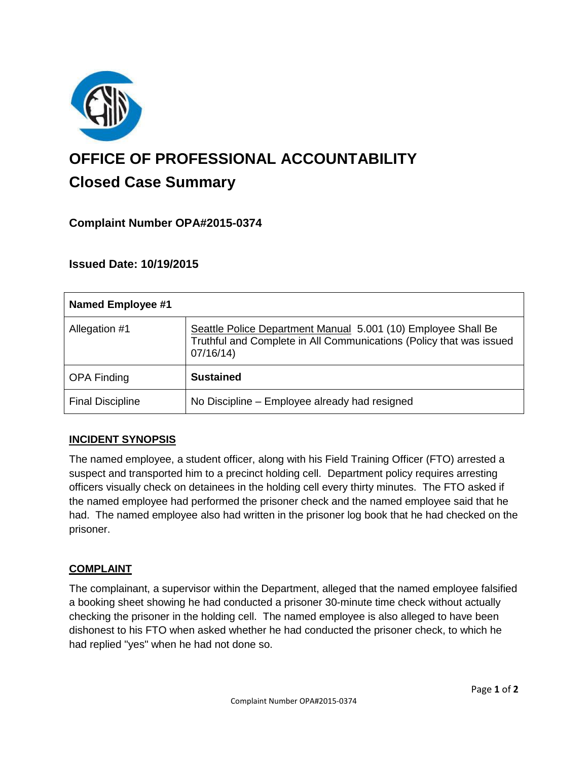

# **OFFICE OF PROFESSIONAL ACCOUNTABILITY Closed Case Summary**

# **Complaint Number OPA#2015-0374**

## **Issued Date: 10/19/2015**

| Named Employee #1       |                                                                                                                                                  |
|-------------------------|--------------------------------------------------------------------------------------------------------------------------------------------------|
| Allegation #1           | Seattle Police Department Manual 5.001 (10) Employee Shall Be<br>Truthful and Complete in All Communications (Policy that was issued<br>07/16/14 |
| <b>OPA Finding</b>      | <b>Sustained</b>                                                                                                                                 |
| <b>Final Discipline</b> | No Discipline - Employee already had resigned                                                                                                    |

#### **INCIDENT SYNOPSIS**

The named employee, a student officer, along with his Field Training Officer (FTO) arrested a suspect and transported him to a precinct holding cell. Department policy requires arresting officers visually check on detainees in the holding cell every thirty minutes. The FTO asked if the named employee had performed the prisoner check and the named employee said that he had. The named employee also had written in the prisoner log book that he had checked on the prisoner.

#### **COMPLAINT**

The complainant, a supervisor within the Department, alleged that the named employee falsified a booking sheet showing he had conducted a prisoner 30-minute time check without actually checking the prisoner in the holding cell. The named employee is also alleged to have been dishonest to his FTO when asked whether he had conducted the prisoner check, to which he had replied "yes" when he had not done so.